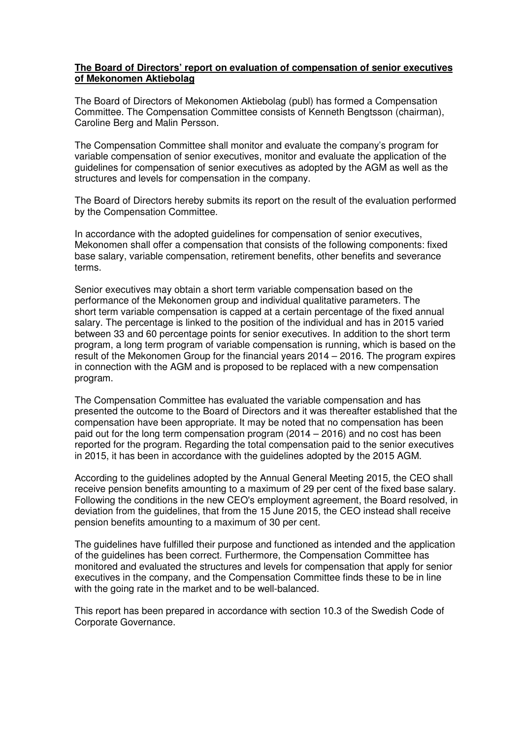## **The Board of Directors' report on evaluation of compensation of senior executives of Mekonomen Aktiebolag**

The Board of Directors of Mekonomen Aktiebolag (publ) has formed a Compensation Committee. The Compensation Committee consists of Kenneth Bengtsson (chairman), Caroline Berg and Malin Persson.

The Compensation Committee shall monitor and evaluate the company's program for variable compensation of senior executives, monitor and evaluate the application of the guidelines for compensation of senior executives as adopted by the AGM as well as the structures and levels for compensation in the company.

The Board of Directors hereby submits its report on the result of the evaluation performed by the Compensation Committee.

In accordance with the adopted guidelines for compensation of senior executives, Mekonomen shall offer a compensation that consists of the following components: fixed base salary, variable compensation, retirement benefits, other benefits and severance terms.

Senior executives may obtain a short term variable compensation based on the performance of the Mekonomen group and individual qualitative parameters. The short term variable compensation is capped at a certain percentage of the fixed annual salary. The percentage is linked to the position of the individual and has in 2015 varied between 33 and 60 percentage points for senior executives. In addition to the short term program, a long term program of variable compensation is running, which is based on the result of the Mekonomen Group for the financial years 2014 – 2016. The program expires in connection with the AGM and is proposed to be replaced with a new compensation program.

The Compensation Committee has evaluated the variable compensation and has presented the outcome to the Board of Directors and it was thereafter established that the compensation have been appropriate. It may be noted that no compensation has been paid out for the long term compensation program (2014 – 2016) and no cost has been reported for the program. Regarding the total compensation paid to the senior executives in 2015, it has been in accordance with the guidelines adopted by the 2015 AGM.

According to the guidelines adopted by the Annual General Meeting 2015, the CEO shall receive pension benefits amounting to a maximum of 29 per cent of the fixed base salary. Following the conditions in the new CEO's employment agreement, the Board resolved, in deviation from the guidelines, that from the 15 June 2015, the CEO instead shall receive pension benefits amounting to a maximum of 30 per cent.

The guidelines have fulfilled their purpose and functioned as intended and the application of the guidelines has been correct. Furthermore, the Compensation Committee has monitored and evaluated the structures and levels for compensation that apply for senior executives in the company, and the Compensation Committee finds these to be in line with the going rate in the market and to be well-balanced.

This report has been prepared in accordance with section 10.3 of the Swedish Code of Corporate Governance.